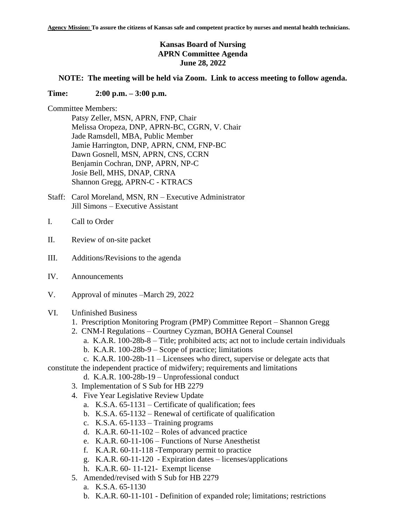## **Kansas Board of Nursing APRN Committee Agenda June 28, 2022**

## **NOTE: The meeting will be held via Zoom. Link to access meeting to follow agenda.**

## **Time: 2:00 p.m. – 3:00 p.m.**

Committee Members:

Patsy Zeller, MSN, APRN, FNP, Chair Melissa Oropeza, DNP, APRN-BC, CGRN, V. Chair Jade Ramsdell, MBA, Public Member Jamie Harrington, DNP, APRN, CNM, FNP-BC Dawn Gosnell, MSN, APRN, CNS, CCRN Benjamin Cochran, DNP, APRN, NP-C Josie Bell, MHS, DNAP, CRNA Shannon Gregg, APRN-C - KTRACS

- Staff: Carol Moreland, MSN, RN Executive Administrator Jill Simons – Executive Assistant
- I. Call to Order
- II. Review of on-site packet
- III. Additions/Revisions to the agenda
- IV. Announcements
- V. Approval of minutes –March 29, 2022
- VI. Unfinished Business
	- 1. Prescription Monitoring Program (PMP) Committee Report Shannon Gregg
	- 2. CNM-I Regulations Courtney Cyzman, BOHA General Counsel
		- a. K.A.R. 100-28b-8 Title; prohibited acts; act not to include certain individuals
		- b. K.A.R. 100-28b-9 Scope of practice; limitations
		- c. K.A.R. 100-28b-11 Licensees who direct, supervise or delegate acts that
- constitute the independent practice of midwifery; requirements and limitations
	- d. K.A.R. 100-28b-19 Unprofessional conduct
	- 3. Implementation of S Sub for HB 2279
	- 4. Five Year Legislative Review Update
		- a. K.S.A. 65-1131 Certificate of qualification; fees
		- b. K.S.A. 65-1132 Renewal of certificate of qualification
		- c. K.S.A. 65-1133 Training programs
		- d. K.A.R. 60-11-102 Roles of advanced practice
		- e. K.A.R. 60-11-106 Functions of Nurse Anesthetist
		- f. K.A.R. 60-11-118 -Temporary permit to practice
		- g. K.A.R. 60-11-120 Expiration dates licenses/applications
		- h. K.A.R. 60- 11-121- Exempt license
	- 5. Amended/revised with S Sub for HB 2279
		- a. K.S.A. 65-1130
		- b. K.A.R. 60-11-101 Definition of expanded role; limitations; restrictions